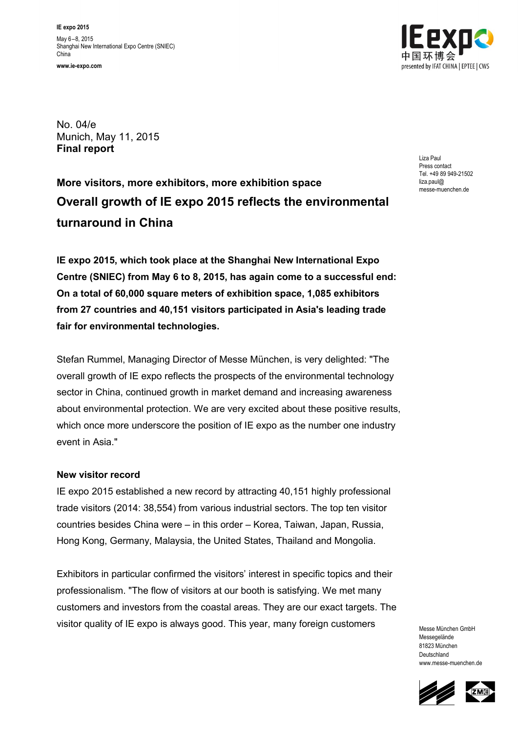

No. 04/e Munich, May 11, 2015 **Final report**

**More visitors, more exhibitors,more exhibition space Overall growth of IE expo 2015 reflects the environmental turnaround in China**

Liza Paul Press contact Tel. +49 89 949-21502 liza.paul@ messe-muenchen.de

**IE expo 2015, which took place at the Shanghai New International Expo Centre (SNIEC) from May 6 to 8, 2015, has again come to a successful end: On a total of 60,000 square meters of exhibition space, 1,085 exhibitors from 27 countries and 40,151 visitors participated in Asia's leading trade fair for environmental technologies.**

Stefan Rummel, Managing Director of Messe München, is very delighted: "The overall growth of IE expo reflects the prospects of the environmental technology sector in China, continued growth in market demand and increasing awareness about environmental protection. We are very excited about these positive results, which once more underscore the position of IE expo as the number one industry event in Asia."

### **New visitor record**

IE expo 2015 established a new record by attracting 40,151 highly professional trade visitors (2014: 38,554) from various industrial sectors. The top ten visitor countries besides China were – in this order – Korea, Taiwan, Japan, Russia, Hong Kong, Germany, Malaysia, the United States, Thailand and Mongolia.

Exhibitors in particular confirmed the visitors' interest in specific topics and their professionalism. "The flow of visitors at our booth is satisfying. We met many customers and investors from the coastal areas. They are our exact targets. The visitor quality of IE expo is always good. This year, many foreign customers

Messe München GmbH Messegelände 81823 München Deutschland www.messe-muenchen.de



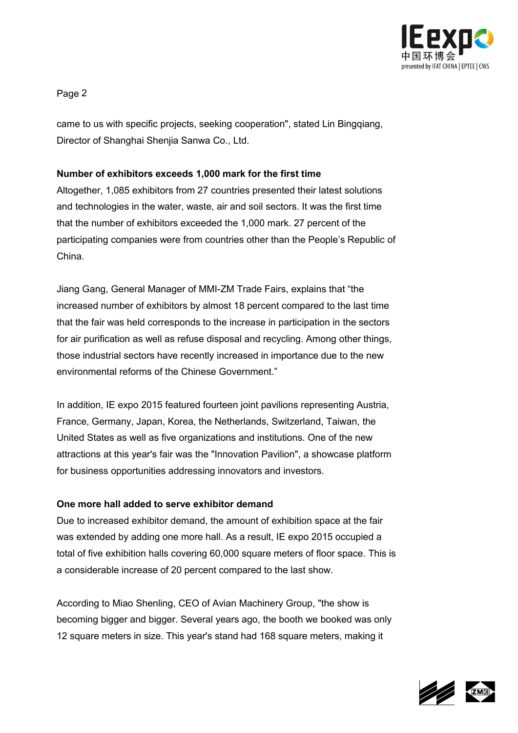

Page 2

came to us with specific projects, seeking cooperation", stated Lin Bingqiang, Director of Shanghai Shenjia Sanwa Co., Ltd.

# **Number of exhibitors exceeds 1,000 mark for the first time**

Altogether, 1,085 exhibitors from 27 countries presented their latest solutions and technologies in the water, waste, air and soil sectors. It was the first time that the number of exhibitors exceeded the 1,000 mark. 27 percent of the participating companies were from countries other than the People's Republic of China.

Jiang Gang, General Manager of MMI-ZM Trade Fairs, explains that "the increased number of exhibitors by almost 18 percent compared to the last time that the fair was held corresponds to the increase in participation in the sectors for air purification as well as refuse disposal and recycling. Among other things, those industrial sectors have recently increased in importance due to the new environmental reforms of the Chinese Government."

In addition, IE expo 2015 featured fourteen joint pavilions representing Austria, France, Germany, Japan, Korea, the Netherlands, Switzerland, Taiwan, the United States as well as five organizations and institutions. One of the new attractions at this year's fair was the "Innovation Pavilion", a showcase platform for business opportunities addressing innovators and investors.

### **One more hall added to serve exhibitor demand**

Due to increased exhibitor demand, the amount of exhibition space at the fair was extended by adding one more hall. As a result, IE expo 2015 occupied a total of five exhibition halls covering 60,000 square meters of floor space. This is a considerable increase of 20 percent compared to the last show.

According to Miao Shenling, CEO of Avian Machinery Group, "the show is becoming bigger and bigger. Several years ago, the booth we booked was only 12 square meters in size. This year's stand had 168 square meters, making it

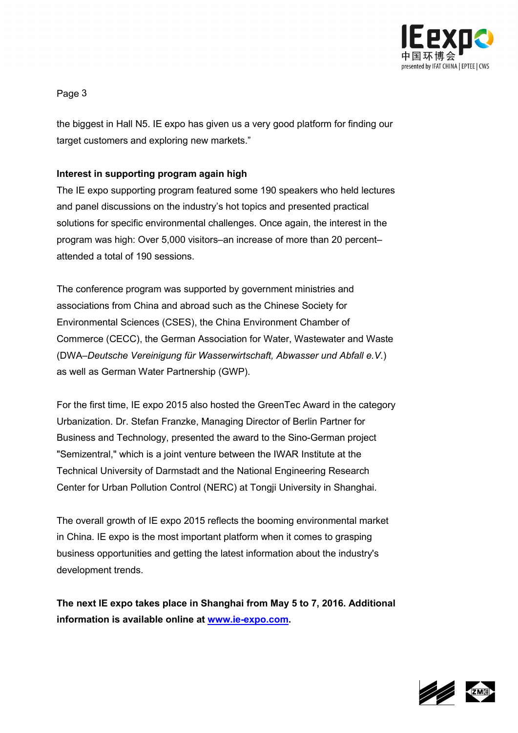

Page 3

the biggest in Hall N5. IE expo has given us a very good platform for finding our target customers and exploring new markets."

# **Interest in supporting program again high**

The IE expo supporting program featured some 190 speakers who held lectures and panel discussions on the industry's hot topics and presented practical solutions for specific environmental challenges. Once again, the interest in the program was high: Over 5,000 visitors–an increase of more than 20 percent– attended a total of 190 sessions.

The conference program was supported by government ministries and associations from China and abroad such as the Chinese Society for Environmental Sciences (CSES), the China Environment Chamber of Commerce (CECC), the German Association for Water, Wastewater and Waste (DWA–*Deutsche Vereinigung für Wasserwirtschaft, Abwasser und Abfall e.V.*) as well as German Water Partnership (GWP).

For the first time, IE expo 2015 also hosted the GreenTec Award in the category Urbanization. Dr. Stefan Franzke, Managing Director of Berlin Partner for Business and Technology, presented the award to the Sino-German project "Semizentral," which is a joint venture between the IWAR Institute at the Technical University of Darmstadt and the National Engineering Research Center for Urban Pollution Control (NERC) at Tongji University in Shanghai.

The overall growth of IE expo 2015 reflects the booming environmental market in China. IE expo is the most important platform when it comes to grasping business opportunities and getting the latest information about the industry's development trends.

**The next IE expo takes place in Shanghai from May 5 to 7, 2016. Additional information is available online at [www.ie-expo.com.](http://www.ie-expo.com/)**